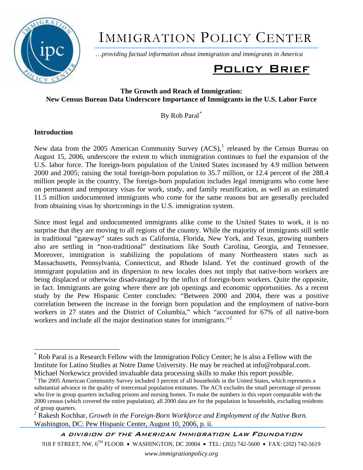

# IMMIGRATION POLICY CENTER

…*providing factual information about immigration and immigrants in America*

## Policy Brief

### **The Growth and Reach of Immigration: New Census Bureau Data Underscore Importance of Immigrants in the U.S. Labor Force**

By Rob Paral[\\*](#page-0-0)

#### **Introduction**

 $\overline{a}$ 

New data from the 2005 American Community Survey  $(ACS)^1$  $(ACS)^1$  released by the Census Bureau on August 15, 2006, underscore the extent to which immigration continues to fuel the expansion of the U.S. labor force. The foreign-born population of the United States increased by 4.9 million between 2000 and 2005; raising the total foreign-born population to 35.7 million, or 12.4 percent of the 288.4 million people in the country. The foreign-born population includes legal immigrants who come here on permanent and temporary visas for work, study, and family reunification, as well as an estimated 11.5 million undocumented immigrants who come for the same reasons but are generally precluded from obtaining visas by shortcomings in the U.S. immigration system.

Since most legal and undocumented immigrants alike come to the United States to work, it is no surprise that they are moving to all regions of the country. While the majority of immigrants still settle in traditional "gateway" states such as California, Florida, New York, and Texas, growing numbers also are settling in "non-traditional" destinations like South Carolina, Georgia, and Tennessee. Moreover, immigration is stabilizing the populations of many Northeastern states such as Massachusetts, Pennsylvania, Connecticut, and Rhode Island. Yet the continued growth of the immigrant population and its dispersion to new locales does not imply that native-born workers are being displaced or otherwise disadvantaged by the influx of foreign-born workers. Quite the opposite, in fact. Immigrants are going where there are job openings and economic opportunities. As a recent study by the Pew Hispanic Center concludes: "Between 2000 and 2004, there was a positive correlation between the increase in the foreign born population and the employment of native-born workers in 27 states and the District of Columbia," which "accounted for 67% of all native-born workers and include all the major destination states for immigrants."<sup>[2](#page-0-2)</sup>

A DIVISION OF THE AMERICAN IMMIGRATION LAW FOUNDATION 918 F STREET, NW, 6<sup>TH</sup> FLOOR • WASHINGTON, DC 20004 • TEL: (202) 742-5600 • FAX: (202) 742-5619

<span id="page-0-0"></span><sup>\*</sup> Rob Paral is a Research Fellow with the Immigration Policy Center; he is also a Fellow with the Institute for Latino Studies at Notre Dame University. He may be reached at info@robparal.com. Michael Norkewicz provided invaluable data processing skills to make this report possible. 1

<span id="page-0-1"></span> $1$  The 2005 American Community Survey included 3 percent of all households in the United States, which represents a substantial advance in the quality of intercensal population estimates. The ACS excludes the small percentage of persons who live in group quarters including prisons and nursing homes. To make the numbers in this report comparable with the 2000 census (which covered the entire population), all 2000 data are for the population in households, excluding residents of group quarters.

<span id="page-0-2"></span><sup>2</sup> Rakesh Kochhar, *Growth in the Foreign-Born Workforce and Employment of the Native Born*. Washington, DC: Pew Hispanic Center, August 10, 2006, p. ii.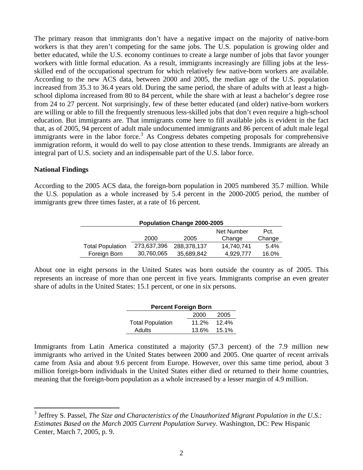The primary reason that immigrants don't have a negative impact on the majority of native-born workers is that they aren't competing for the same jobs. The U.S. population is growing older and better educated, while the U.S. economy continues to create a large number of jobs that favor younger workers with little formal education. As a result, immigrants increasingly are filling jobs at the lessskilled end of the occupational spectrum for which relatively few native-born workers are available. According to the new ACS data, between 2000 and 2005, the median age of the U.S. population increased from 35.3 to 36.4 years old. During the same period, the share of adults with at least a highschool diploma increased from 80 to 84 percent, while the share with at least a bachelor's degree rose from 24 to 27 percent. Not surprisingly, few of these better educated (and older) native-born workers are willing or able to fill the frequently strenuous less-skilled jobs that don't even require a high-school education. But immigrants are. That immigrants come here to fill available jobs is evident in the fact that, as of 2005, 94 percent of adult male undocumented immigrants and 86 percent of adult male legal immigrants were in the labor force.<sup>[3](#page-1-0)</sup> As Congress debates competing proposals for comprehensive immigration reform, it would do well to pay close attention to these trends. Immigrants are already an integral part of U.S. society and an indispensable part of the U.S. labor force.

#### **National Findings**

According to the 2005 ACS data, the foreign-born population in 2005 numbered 35.7 million. While the U.S. population as a whole increased by 5.4 percent in the 2000-2005 period, the number of immigrants grew three times faster, at a rate of 16 percent.

| Population Change 2000-2005 |             |             |            |        |
|-----------------------------|-------------|-------------|------------|--------|
|                             |             |             | Net Number | Pct.   |
|                             | 2000        | 2005        | Change     | Change |
| <b>Total Population</b>     | 273,637,396 | 288.378.137 | 14.740.741 | 5.4%   |
| Foreign Born                | 30,760,065  | 35,689,842  | 4,929,777  | 16.0%  |

About one in eight persons in the United States was born outside the country as of 2005. This represents an increase of more than one percent in five years. Immigrants comprise an even greater share of adults in the United States: 15.1 percent, or one in six persons.

| <b>Percent Foreign Born</b> |          |          |  |
|-----------------------------|----------|----------|--|
|                             | 2000     | 2005     |  |
| <b>Total Population</b>     | $11.2\%$ | $12.4\%$ |  |
| <b>Adults</b>               | 13.6%    | 15.1%    |  |

Immigrants from Latin America constituted a majority (57.3 percent) of the 7.9 million new immigrants who arrived in the United States between 2000 and 2005. One quarter of recent arrivals came from Asia and about 9.6 percent from Europe. However, over this same time period, about 3 million foreign-born individuals in the United States either died or returned to their home countries, meaning that the foreign-born population as a whole increased by a lesser margin of 4.9 million.

<span id="page-1-0"></span> 3 Jeffrey S. Passel, *The Size and Characteristics of the Unauthorized Migrant Population in the U.S.: Estimates Based on the March 2005 Current Population Survey*. Washington, DC: Pew Hispanic Center, March 7, 2005, p. 9.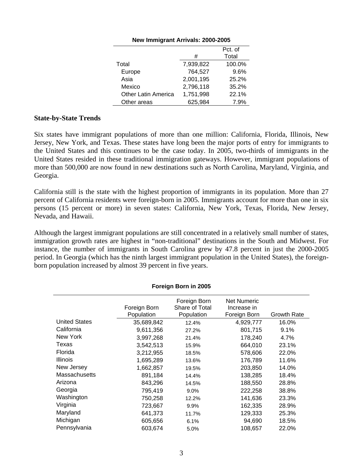| New Illilliyatil Allivais. 2000-2003 |           |         |  |  |
|--------------------------------------|-----------|---------|--|--|
|                                      |           | Pct. of |  |  |
|                                      | #         | Total   |  |  |
| Total                                | 7,939,822 | 100.0%  |  |  |
| Europe                               | 764,527   | 9.6%    |  |  |
| Asia                                 | 2,001,195 | 25.2%   |  |  |
| Mexico                               | 2,796,118 | 35.2%   |  |  |
| <b>Other Latin America</b>           | 1,751,998 | 22.1%   |  |  |
| Other areas                          | 625,984   | 7.9%    |  |  |

### **New Immigrant Arrivals: 2000-2005**

#### **State-by-State Trends**

Six states have immigrant populations of more than one million: California, Florida, Illinois, New Jersey, New York, and Texas. These states have long been the major ports of entry for immigrants to the United States and this continues to be the case today. In 2005, two-thirds of immigrants in the United States resided in these traditional immigration gateways. However, immigrant populations of more than 500,000 are now found in new destinations such as North Carolina, Maryland, Virginia, and Georgia.

California still is the state with the highest proportion of immigrants in its population. More than 27 percent of California residents were foreign-born in 2005. Immigrants account for more than one in six persons (15 percent or more) in seven states: California, New York, Texas, Florida, New Jersey, Nevada, and Hawaii.

Although the largest immigrant populations are still concentrated in a relatively small number of states, immigration growth rates are highest in "non-traditional" destinations in the South and Midwest. For instance, the number of immigrants in South Carolina grew by 47.8 percent in just the 2000-2005 period. In Georgia (which has the ninth largest immigrant population in the United States), the foreignborn population increased by almost 39 percent in five years.

**Foreign Born in 2005** 

| . 0.0.9 Donn In 2000 |                            |                                              |                                                   |                    |  |
|----------------------|----------------------------|----------------------------------------------|---------------------------------------------------|--------------------|--|
|                      | Foreign Born<br>Population | Foreign Born<br>Share of Total<br>Population | <b>Net Numeric</b><br>Increase in<br>Foreign Born | <b>Growth Rate</b> |  |
| <b>United States</b> | 35,689,842                 | 12.4%                                        | 4,929,777                                         | 16.0%              |  |
| California           | 9,611,356                  | 27.2%                                        | 801,715                                           | 9.1%               |  |
| New York             | 3,997,268                  | 21.4%                                        | 178,240                                           | 4.7%               |  |
| Texas                | 3,542,513                  | 15.9%                                        | 664,010                                           | 23.1%              |  |
| Florida              | 3,212,955                  | 18.5%                                        | 578,606                                           | 22.0%              |  |
| <b>Illinois</b>      | 1,695,289                  | 13.6%                                        | 176,789                                           | 11.6%              |  |
| New Jersey           | 1,662,857                  | 19.5%                                        | 203,850                                           | 14.0%              |  |
| <b>Massachusetts</b> | 891,184                    | 14.4%                                        | 138,285                                           | 18.4%              |  |
| Arizona              | 843,296                    | 14.5%                                        | 188,550                                           | 28.8%              |  |
| Georgia              | 795,419                    | 9.0%                                         | 222,258                                           | 38.8%              |  |
| Washington           | 750,258                    | 12.2%                                        | 141,636                                           | 23.3%              |  |
| Virginia             | 723,667                    | 9.9%                                         | 162,335                                           | 28.9%              |  |
| Maryland             | 641,373                    | 11.7%                                        | 129,333                                           | 25.3%              |  |
| Michigan             | 605,656                    | 6.1%                                         | 94,690                                            | 18.5%              |  |
| Pennsylvania         | 603,674                    | 5.0%                                         | 108,657                                           | 22.0%              |  |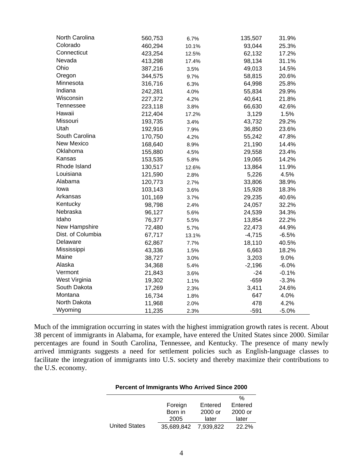| North Carolina    | 560,753 | 6.7%  | 135,507  | 31.9%   |
|-------------------|---------|-------|----------|---------|
| Colorado          | 460,294 | 10.1% | 93,044   | 25.3%   |
| Connecticut       | 423,254 | 12.5% | 62,132   | 17.2%   |
| Nevada            | 413,298 | 17.4% | 98,134   | 31.1%   |
| Ohio              | 387,216 | 3.5%  | 49,013   | 14.5%   |
| Oregon            | 344,575 | 9.7%  | 58,815   | 20.6%   |
| Minnesota         | 316,716 | 6.3%  | 64,998   | 25.8%   |
| Indiana           | 242,281 | 4.0%  | 55,834   | 29.9%   |
| Wisconsin         | 227,372 | 4.2%  | 40,641   | 21.8%   |
| <b>Tennessee</b>  | 223,118 | 3.8%  | 66,630   | 42.6%   |
| Hawaii            | 212,404 | 17.2% | 3,129    | 1.5%    |
| Missouri          | 193,735 | 3.4%  | 43,732   | 29.2%   |
| Utah              | 192,916 | 7.9%  | 36,850   | 23.6%   |
| South Carolina    | 170,750 | 4.2%  | 55,242   | 47.8%   |
| New Mexico        | 168,640 | 8.9%  | 21,190   | 14.4%   |
| Oklahoma          | 155,880 | 4.5%  | 29,558   | 23.4%   |
| Kansas            | 153,535 | 5.8%  | 19,065   | 14.2%   |
| Rhode Island      | 130,517 | 12.6% | 13,864   | 11.9%   |
| Louisiana         | 121,590 | 2.8%  | 5,226    | 4.5%    |
| Alabama           | 120,773 | 2.7%  | 33,806   | 38.9%   |
| lowa              | 103,143 | 3.6%  | 15,928   | 18.3%   |
| Arkansas          | 101,169 | 3.7%  | 29,235   | 40.6%   |
| Kentucky          | 98,798  | 2.4%  | 24,057   | 32.2%   |
| Nebraska          | 96,127  | 5.6%  | 24,539   | 34.3%   |
| Idaho             | 76,377  | 5.5%  | 13,854   | 22.2%   |
| New Hampshire     | 72,480  | 5.7%  | 22,473   | 44.9%   |
| Dist. of Columbia | 67,717  | 13.1% | $-4,715$ | $-6.5%$ |
| Delaware          | 62,867  | 7.7%  | 18,110   | 40.5%   |
| Mississippi       | 43,336  | 1.5%  | 6,663    | 18.2%   |
| Maine             | 38,727  | 3.0%  | 3,203    | 9.0%    |
| Alaska            | 34,368  | 5.4%  | $-2,196$ | $-6.0%$ |
| Vermont           | 21,843  | 3.6%  | $-24$    | $-0.1%$ |
| West Virginia     | 19,302  | 1.1%  | $-659$   | $-3.3%$ |
| South Dakota      | 17,269  | 2.3%  | 3,411    | 24.6%   |
| Montana           | 16,734  | 1.8%  | 647      | 4.0%    |
| North Dakota      | 11,968  | 2.0%  | 478      | 4.2%    |
| Wyoming           | 11,235  | 2.3%  | $-591$   | $-5.0%$ |

Much of the immigration occurring in states with the highest immigration growth rates is recent. About 38 percent of immigrants in Alabama, for example, have entered the United States since 2000. Similar percentages are found in South Carolina, Tennessee, and Kentucky. The presence of many newly arrived immigrants suggests a need for settlement policies such as English-language classes to facilitate the integration of immigrants into U.S. society and thereby maximize their contributions to the U.S. economy.

#### Foreign Born in 2005 Entered 2000 or later  $\overline{\%}$ Entered 2000 or later United States 35,689,842 7,939,822 22.2%

#### **Percent of Immigrants Who Arrived Since 2000**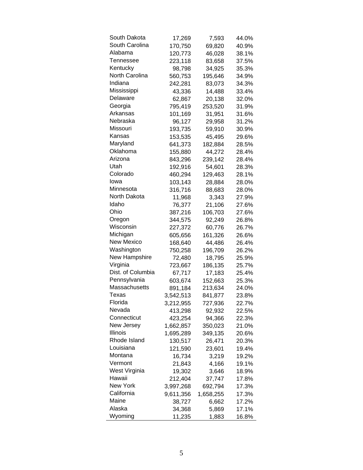| South Dakota      | 17,269    | 7,593     | 44.0% |
|-------------------|-----------|-----------|-------|
| South Carolina    | 170,750   | 69,820    | 40.9% |
| Alabama           | 120,773   | 46,028    | 38.1% |
| Tennessee         | 223,118   | 83,658    | 37.5% |
| Kentucky          | 98,798    | 34,925    | 35.3% |
| North Carolina    | 560,753   | 195,646   | 34.9% |
| Indiana           | 242,281   | 83,073    | 34.3% |
| Mississippi       | 43,336    | 14,488    | 33.4% |
| Delaware          | 62,867    | 20,138    | 32.0% |
| Georgia           | 795,419   | 253,520   | 31.9% |
| Arkansas          | 101,169   | 31,951    | 31.6% |
| Nebraska          | 96,127    | 29,958    | 31.2% |
| Missouri          | 193,735   | 59,910    | 30.9% |
| Kansas            | 153,535   | 45,495    | 29.6% |
| Maryland          | 641,373   | 182,884   | 28.5% |
| Oklahoma          | 155,880   | 44,272    | 28.4% |
| Arizona           | 843,296   | 239,142   | 28.4% |
| Utah              | 192,916   | 54,601    | 28.3% |
| Colorado          | 460,294   | 129,463   | 28.1% |
| lowa              | 103,143   | 28,884    | 28.0% |
| Minnesota         | 316,716   | 88,683    | 28.0% |
| North Dakota      | 11,968    | 3,343     | 27.9% |
| Idaho             | 76,377    | 21,106    | 27.6% |
| Ohio              | 387,216   | 106,703   | 27.6% |
| Oregon            | 344,575   | 92,249    | 26.8% |
| Wisconsin         | 227,372   | 60,776    | 26.7% |
| Michigan          | 605,656   | 161,326   | 26.6% |
| <b>New Mexico</b> | 168,640   | 44,486    | 26.4% |
| Washington        | 750,258   | 196,709   | 26.2% |
| New Hampshire     | 72,480    | 18,795    | 25.9% |
| Virginia          | 723,667   | 186,135   | 25.7% |
| Dist. of Columbia | 67,717    | 17,183    | 25.4% |
| Pennsylvania      | 603,674   | 152,663   | 25.3% |
| Massachusetts     | 891,184   | 213,634   | 24.0% |
| Texas             | 3,542,513 | 841,877   | 23.8% |
| Florida           | 3,212,955 | 727,936   | 22.7% |
| Nevada            | 413,298   | 92,932    | 22.5% |
| Connecticut       | 423,254   | 94,366    | 22.3% |
| New Jersey        | 1,662,857 | 350,023   | 21.0% |
| Illinois          | 1,695,289 | 349,135   | 20.6% |
| Rhode Island      | 130,517   | 26,471    | 20.3% |
| Louisiana         | 121,590   | 23,601    | 19.4% |
| Montana           | 16,734    | 3,219     | 19.2% |
| Vermont           | 21,843    | 4,166     | 19.1% |
| West Virginia     | 19,302    | 3,646     | 18.9% |
| Hawaii            | 212,404   | 37,747    | 17.8% |
| New York          | 3,997,268 | 692,794   | 17.3% |
| California        | 9,611,356 | 1,658,255 | 17.3% |
| Maine             | 38,727    | 6,662     | 17.2% |
| Alaska            | 34,368    | 5,869     | 17.1% |
| Wyoming           | 11,235    | 1,883     | 16.8% |
|                   |           |           |       |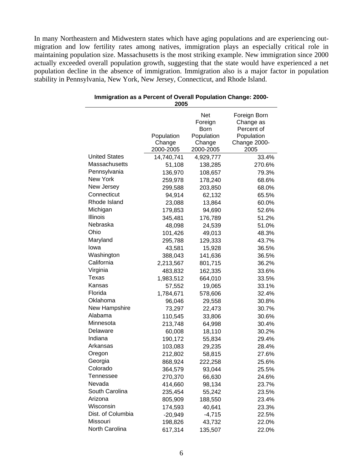In many Northeastern and Midwestern states which have aging populations and are experiencing outmigration and low fertility rates among natives, immigration plays an especially critical role in maintaining population size. Massachusetts is the most striking example. New immigration since 2000 actually exceeded overall population growth, suggesting that the state would have experienced a net population decline in the absence of immigration. Immigration also is a major factor in population stability in Pennsylvania, New York, New Jersey, Connecticut, and Rhode Island.

|                      | ∠ບບວ       |            |                      |
|----------------------|------------|------------|----------------------|
|                      |            | <b>Net</b> | Foreign Born         |
|                      |            | Foreign    | Change as            |
|                      |            | Born       | Percent of           |
|                      | Population | Population | Population           |
|                      | Change     | Change     | Change 2000-<br>2005 |
| <b>United States</b> | 2000-2005  | 2000-2005  |                      |
| Massachusetts        | 14,740,741 | 4,929,777  | 33.4%                |
| Pennsylvania         | 51,108     | 138,285    | 270.6%               |
| New York             | 136,970    | 108,657    | 79.3%                |
|                      | 259,978    | 178,240    | 68.6%                |
| New Jersey           | 299,588    | 203,850    | 68.0%                |
| Connecticut          | 94,914     | 62,132     | 65.5%                |
| Rhode Island         | 23,088     | 13,864     | 60.0%                |
| Michigan             | 179,853    | 94,690     | 52.6%                |
| Illinois             | 345,481    | 176,789    | 51.2%                |
| Nebraska             | 48,098     | 24,539     | 51.0%                |
| Ohio                 | 101,426    | 49,013     | 48.3%                |
| Maryland             | 295,788    | 129,333    | 43.7%                |
| lowa                 | 43,581     | 15,928     | 36.5%                |
| Washington           | 388,043    | 141,636    | 36.5%                |
| California           | 2,213,567  | 801,715    | 36.2%                |
| Virginia             | 483,832    | 162,335    | 33.6%                |
| Texas                | 1,983,512  | 664,010    | 33.5%                |
| Kansas               | 57,552     | 19,065     | 33.1%                |
| Florida              | 1,784,671  | 578,606    | 32.4%                |
| Oklahoma             | 96,046     | 29,558     | 30.8%                |
| New Hampshire        | 73,297     | 22,473     | 30.7%                |
| Alabama              | 110,545    | 33,806     | 30.6%                |
| Minnesota            | 213,748    | 64,998     | 30.4%                |
| Delaware             | 60,008     | 18,110     | 30.2%                |
| Indiana              | 190,172    | 55,834     | 29.4%                |
| Arkansas             | 103,083    | 29,235     | 28.4%                |
| Oregon               | 212,802    | 58,815     | 27.6%                |
| Georgia              | 868,924    | 222,258    | 25.6%                |
| Colorado             | 364,579    | 93,044     | 25.5%                |
| <b>Tennessee</b>     | 270,370    | 66,630     | 24.6%                |
| Nevada               | 414,660    | 98,134     | 23.7%                |
| South Carolina       | 235,454    | 55,242     | 23.5%                |
| Arizona              | 805,909    | 188,550    | 23.4%                |
| Wisconsin            | 174,593    | 40,641     | 23.3%                |
| Dist. of Columbia    | $-20,949$  | $-4,715$   | 22.5%                |
| Missouri             | 198,826    | 43,732     | 22.0%                |
| North Carolina       | 617,314    | 135,507    | 22.0%                |

#### **Immigration as a Percent of Overall Population Change: 2000- 2005**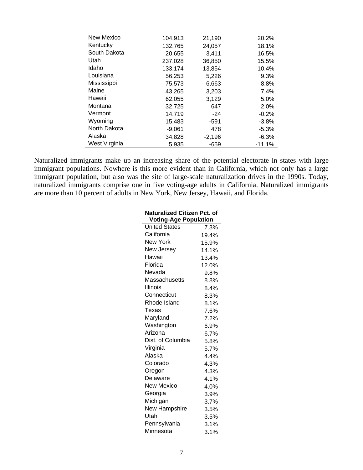| New Mexico    | 104,913  | 21,190   | 20.2%    |
|---------------|----------|----------|----------|
| Kentucky      | 132,765  | 24,057   | 18.1%    |
| South Dakota  | 20,655   | 3,411    | 16.5%    |
| Utah          | 237,028  | 36,850   | 15.5%    |
| Idaho         | 133,174  | 13,854   | 10.4%    |
| Louisiana     | 56,253   | 5,226    | 9.3%     |
| Mississippi   | 75,573   | 6,663    | 8.8%     |
| Maine         | 43,265   | 3,203    | 7.4%     |
| Hawaii        | 62,055   | 3,129    | 5.0%     |
| Montana       | 32,725   | 647      | 2.0%     |
| Vermont       | 14,719   | $-24$    | $-0.2%$  |
| Wyoming       | 15,483   | -591     | $-3.8\%$ |
| North Dakota  | $-9.061$ | 478      | $-5.3%$  |
| Alaska        | 34,828   | $-2,196$ | $-6.3%$  |
| West Virginia | 5.935    | $-659$   | $-11.1%$ |

Naturalized immigrants make up an increasing share of the potential electorate in states with large immigrant populations. Nowhere is this more evident than in California, which not only has a large immigrant population, but also was the site of large-scale naturalization drives in the 1990s. Today, naturalized immigrants comprise one in five voting-age adults in California. Naturalized immigrants are more than 10 percent of adults in New York, New Jersey, Hawaii, and Florida.

| <b>Naturalized Citizen Pct. of</b> |       |  |  |  |
|------------------------------------|-------|--|--|--|
| <b>Voting-Age Population</b>       |       |  |  |  |
| <b>United States</b>               | 7.3%  |  |  |  |
| California                         | 19.4% |  |  |  |
| New York                           | 15.9% |  |  |  |
| New Jersey                         | 14.1% |  |  |  |
| Hawaii                             | 13.4% |  |  |  |
| Florida                            | 12.0% |  |  |  |
| Nevada                             | 9.8%  |  |  |  |
| Massachusetts                      | 8.8%  |  |  |  |
| Illinois                           | 8.4%  |  |  |  |
| Connecticut                        | 8.3%  |  |  |  |
| Rhode Island                       | 8.1%  |  |  |  |
| Texas                              | 7.6%  |  |  |  |
| Maryland                           | 7.2%  |  |  |  |
| Washington                         | 6.9%  |  |  |  |
| Arizona                            | 6.7%  |  |  |  |
| Dist. of Columbia                  | 5.8%  |  |  |  |
| Virginia                           | 5.7%  |  |  |  |
| Alaska                             | 4.4%  |  |  |  |
| Colorado                           | 4.3%  |  |  |  |
| Oregon                             | 4.3%  |  |  |  |
| Delaware                           | 4.1%  |  |  |  |
| New Mexico                         | 4.0%  |  |  |  |
| Georgia                            | 3.9%  |  |  |  |
| Michigan                           | 3.7%  |  |  |  |
| New Hampshire                      | 3.5%  |  |  |  |
| Utah                               | 3.5%  |  |  |  |
| Pennsylvania                       | 3.1%  |  |  |  |
| Minnesota                          | 3.1%  |  |  |  |